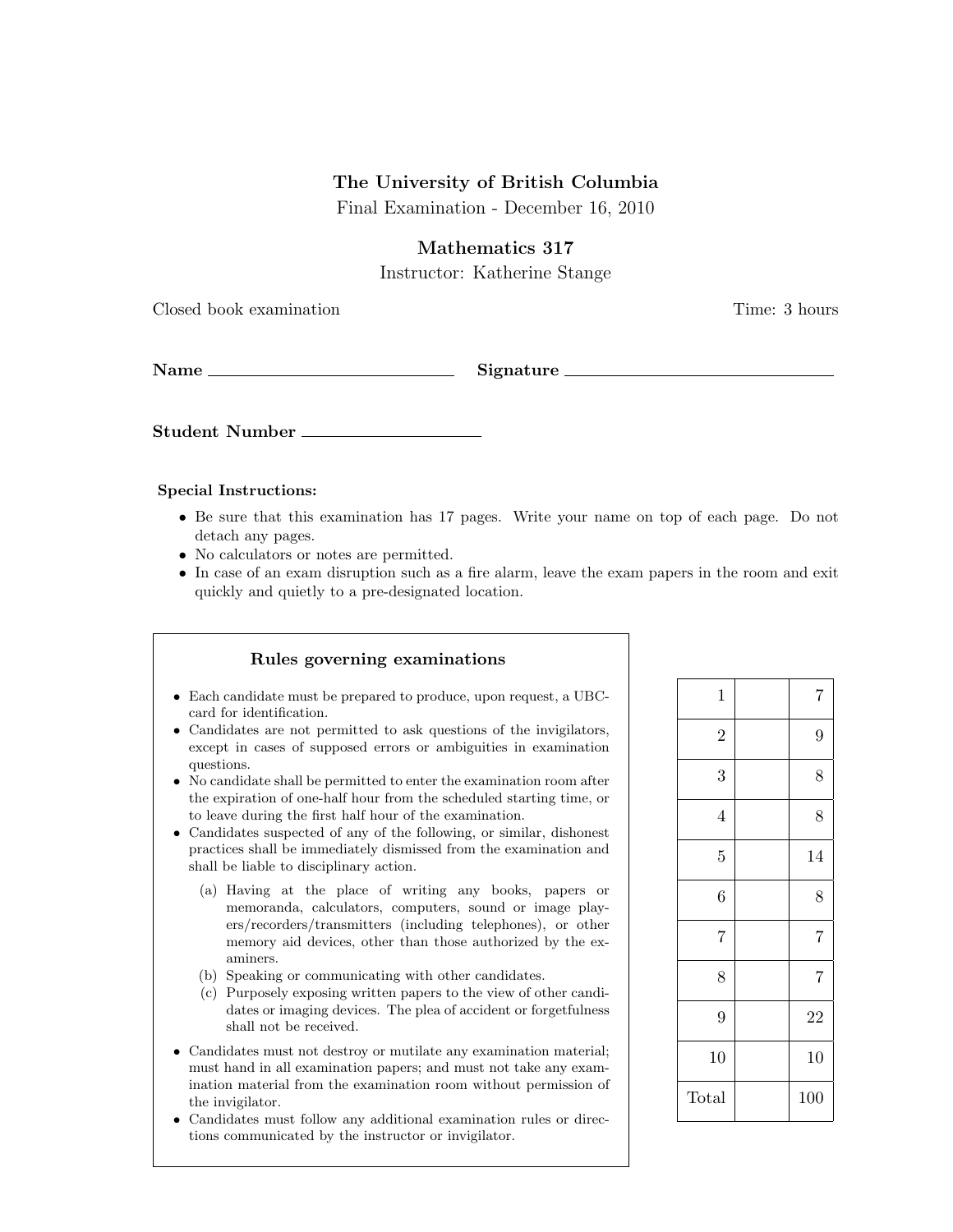## The University of British Columbia

Final Examination - December 16, 2010

Mathematics 317

Instructor: Katherine Stange

Closed book examination Time: 3 hours

Name Signature

Student Number

#### Special Instructions:

- Be sure that this examination has 17 pages. Write your name on top of each page. Do not detach any pages.
- No calculators or notes are permitted.
- In case of an exam disruption such as a fire alarm, leave the exam papers in the room and exit quickly and quietly to a pre-designated location.

#### Rules governing examinations • Each candidate must be prepared to produce, upon request, a UBCcard for identification. • Candidates are not permitted to ask questions of the invigilators, except in cases of supposed errors or ambiguities in examination questions. • No candidate shall be permitted to enter the examination room after the expiration of one-half hour from the scheduled starting time, or to leave during the first half hour of the examination. • Candidates suspected of any of the following, or similar, dishonest practices shall be immediately dismissed from the examination and shall be liable to disciplinary action. (a) Having at the place of writing any books, papers or memoranda, calculators, computers, sound or image players/recorders/transmitters (including telephones), or other memory aid devices, other than those authorized by the examiners. (b) Speaking or communicating with other candidates. (c) Purposely exposing written papers to the view of other candidates or imaging devices. The plea of accident or forgetfulness shall not be received. • Candidates must not destroy or mutilate any examination material; must hand in all examination papers; and must not take any examination material from the examination room without permission of the invigilator. • Candidates must follow any additional examination rules or direc-

tions communicated by the instructor or invigilator.

| $\mathbf{1}$   | 7              |
|----------------|----------------|
| $\overline{2}$ | 9              |
| 3              | 8              |
| $\overline{4}$ | 8              |
| $\overline{5}$ | 14             |
| 6              | 8              |
| $\overline{7}$ | $\overline{7}$ |
| 8              | $\overline{7}$ |
| 9              | 22             |
| 10             | 10             |
| Total          | 100            |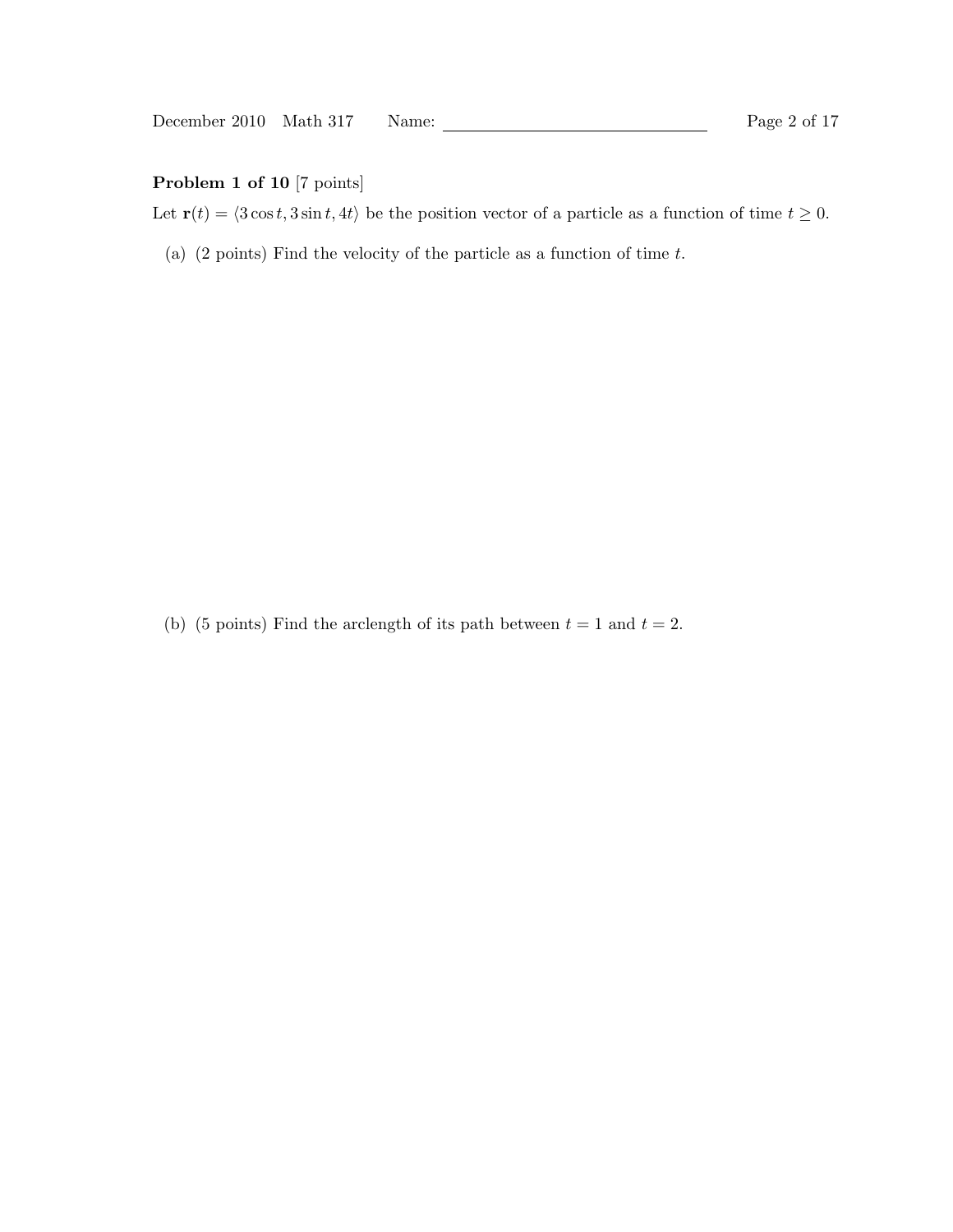# Problem 1 of 10 [7 points]

Let  $\mathbf{r}(t) = \langle 3 \cos t, 3 \sin t, 4t \rangle$  be the position vector of a particle as a function of time  $t \ge 0$ .

(a)  $(2 \text{ points})$  Find the velocity of the particle as a function of time  $t$ .

(b) (5 points) Find the arclength of its path between  $t = 1$  and  $t = 2$ .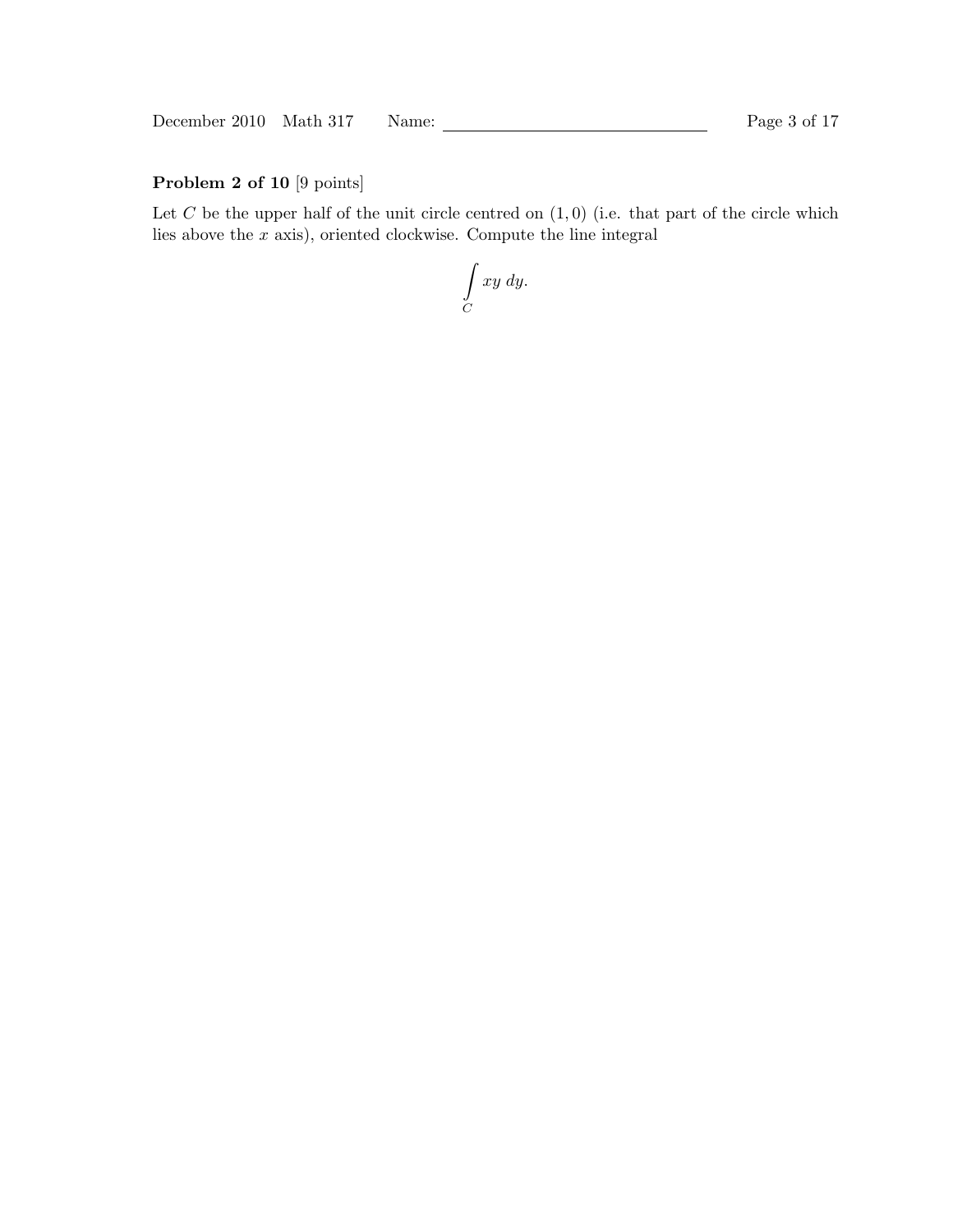December 2010 Math 317 Name: Page 3 of 17

# Problem 2 of 10 [9 points]

Let  $C$  be the upper half of the unit circle centred on  $(1, 0)$  (i.e. that part of the circle which lies above the  $x$  axis), oriented clockwise. Compute the line integral

Z  $\mathcal{C}_{0}^{(n)}$ xy dy.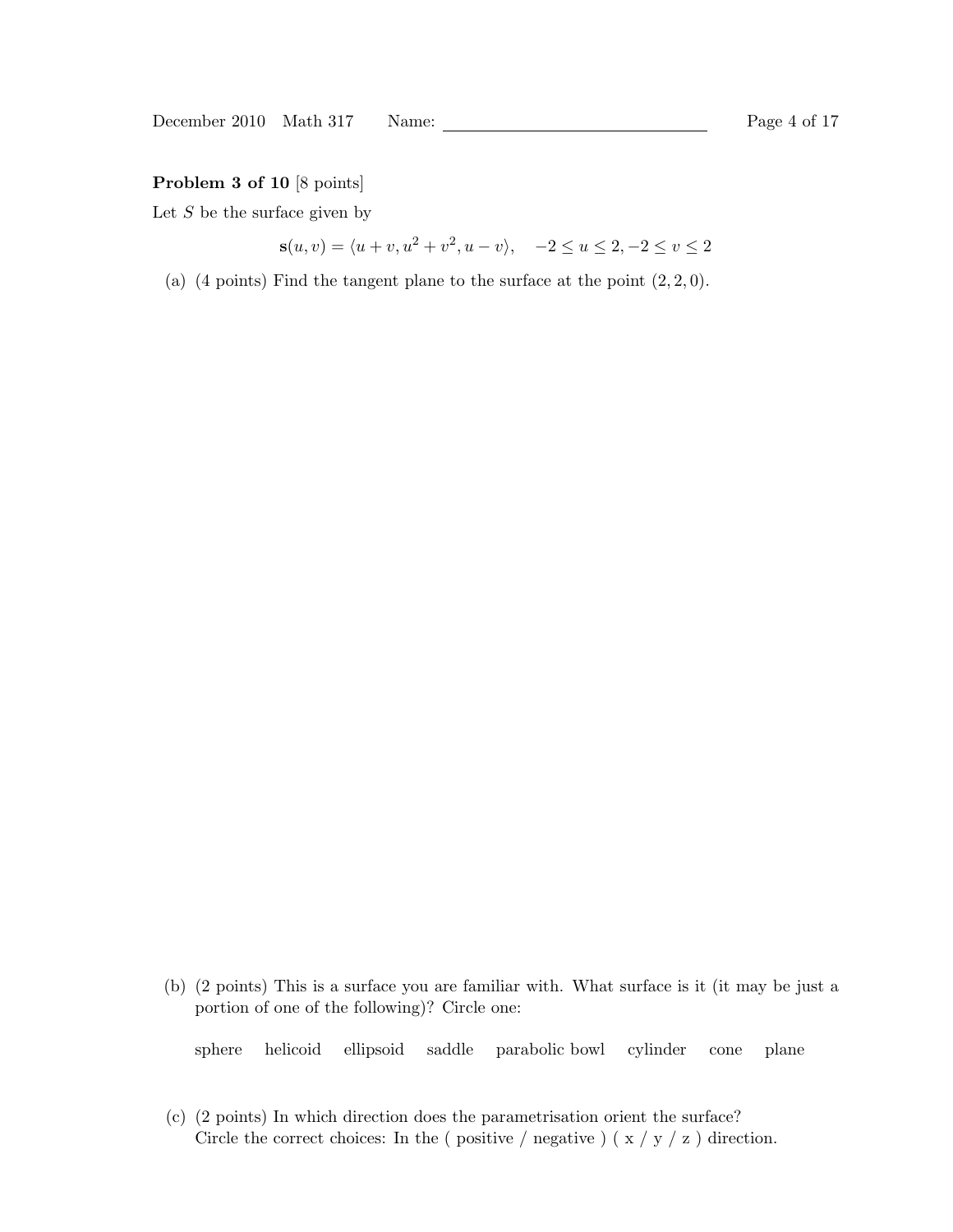### Problem 3 of 10 [8 points]

Let  $S$  be the surface given by

$$
\mathbf{s}(u, v) = \langle u + v, u^2 + v^2, u - v \rangle, \quad -2 \le u \le 2, -2 \le v \le 2
$$

(a) (4 points) Find the tangent plane to the surface at the point  $(2, 2, 0)$ .

(b) (2 points) This is a surface you are familiar with. What surface is it (it may be just a portion of one of the following)? Circle one:

sphere helicoid ellipsoid saddle parabolic bowl cylinder cone plane

(c) (2 points) In which direction does the parametrisation orient the surface? Circle the correct choices: In the ( positive / negative ) ( $x / y / z$  ) direction.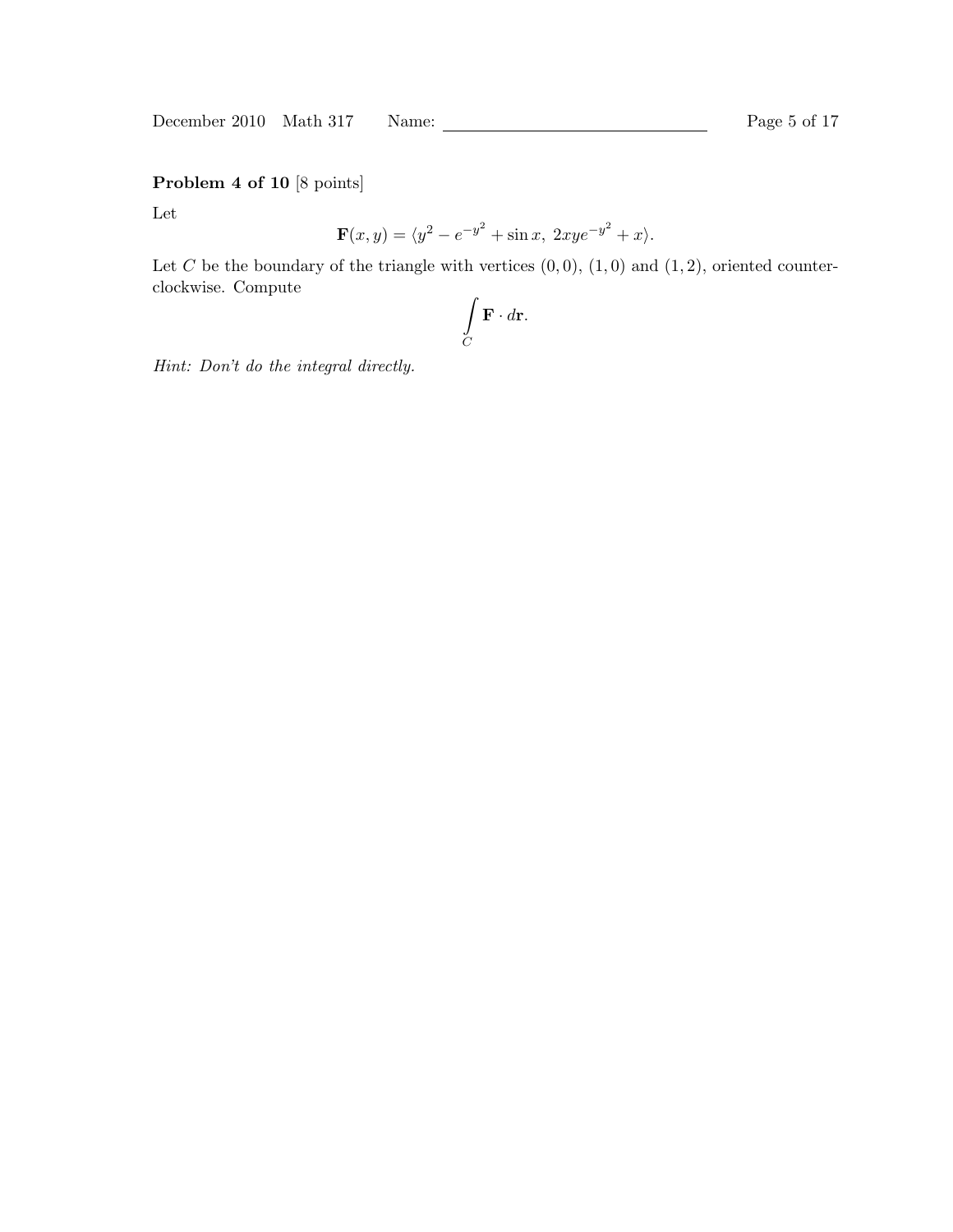December 2010 Math 317 Name: Page 5 of 17

Problem 4 of 10 [8 points]

Let

$$
\mathbf{F}(x,y) = \langle y^2 - e^{-y^2} + \sin x, \ 2xy e^{-y^2} + x \rangle.
$$

Let C be the boundary of the triangle with vertices  $(0, 0)$ ,  $(1, 0)$  and  $(1, 2)$ , oriented counterclockwise. Compute

$$
\int\limits_C \mathbf{F} \cdot d\mathbf{r}.
$$

Hint: Don't do the integral directly.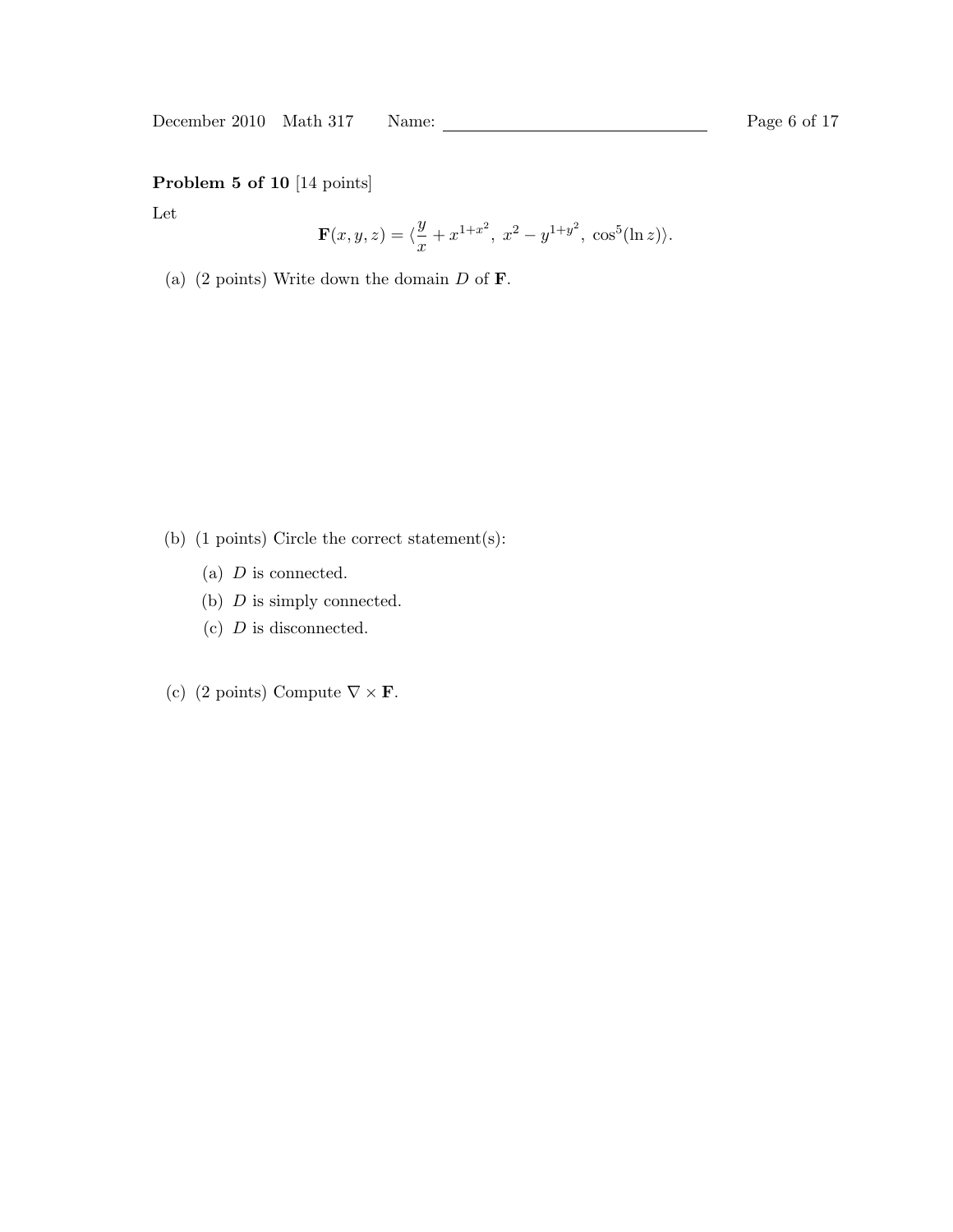December 2010 Math 317 Name: 2010 Math 317 Name: Page 6 of 17

# Problem 5 of 10 [14 points]

Let

$$
\mathbf{F}(x,y,z) = \langle \frac{y}{x} + x^{1+x^2}, \ x^2 - y^{1+y^2}, \ \cos^5(\ln z) \rangle.
$$

(a) (2 points) Write down the domain  $D$  of  $\mathbf{F}$ .

- (b) (1 points) Circle the correct statement(s):
	- (a)  $D$  is connected.
	- (b)  $D$  is simply connected.
	- $(c)$  D is disconnected.
- (c) (2 points) Compute  $\nabla \times \mathbf{F}$ .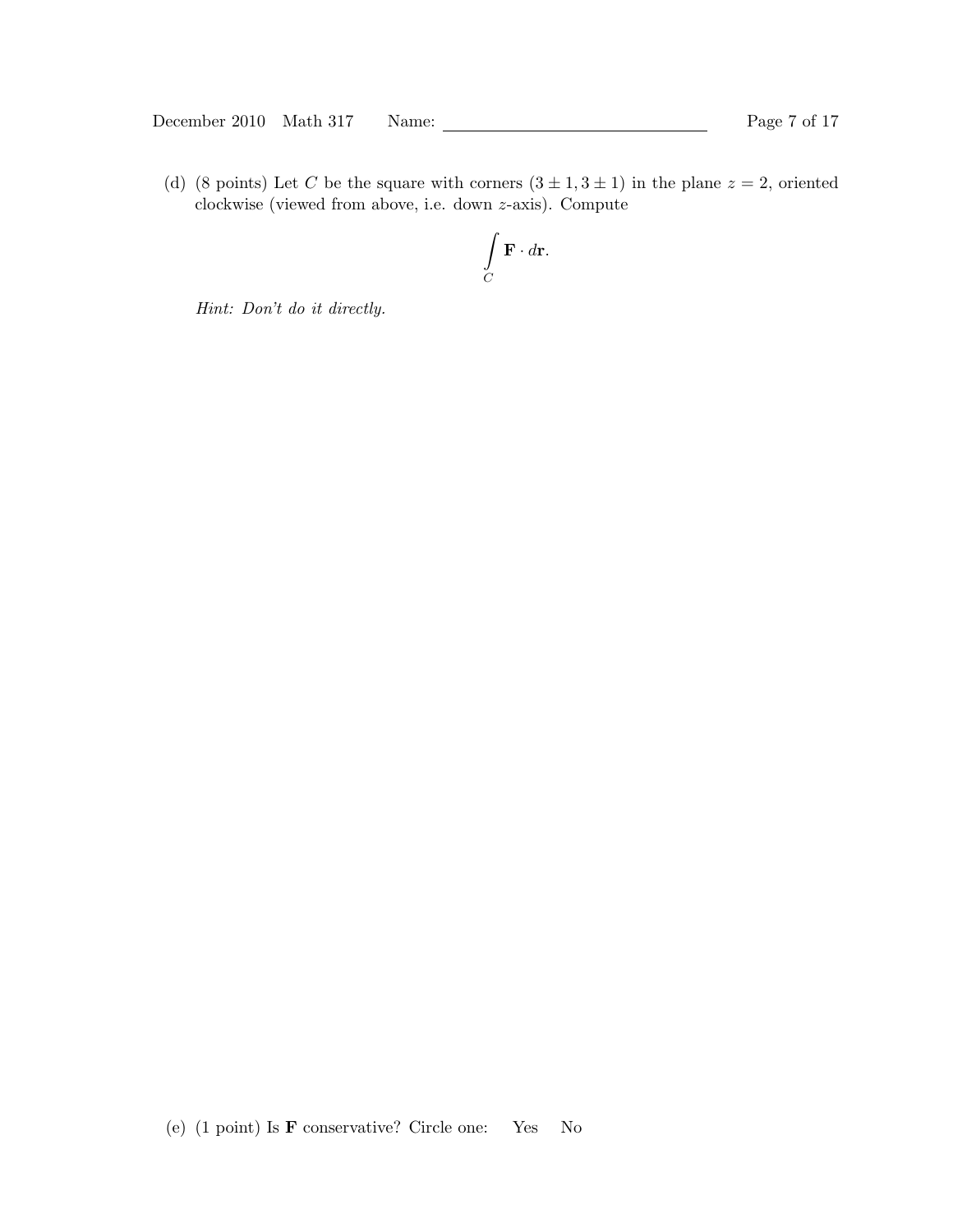December 2010 Math 317 Name: 2010 Math 317 Name: Page 7 of 17

(d) (8 points) Let C be the square with corners  $(3 \pm 1, 3 \pm 1)$  in the plane  $z = 2$ , oriented clockwise (viewed from above, i.e. down z-axis). Compute

$$
\int\limits_C \mathbf{F} \cdot d\mathbf{r}.
$$

Hint: Don't do it directly.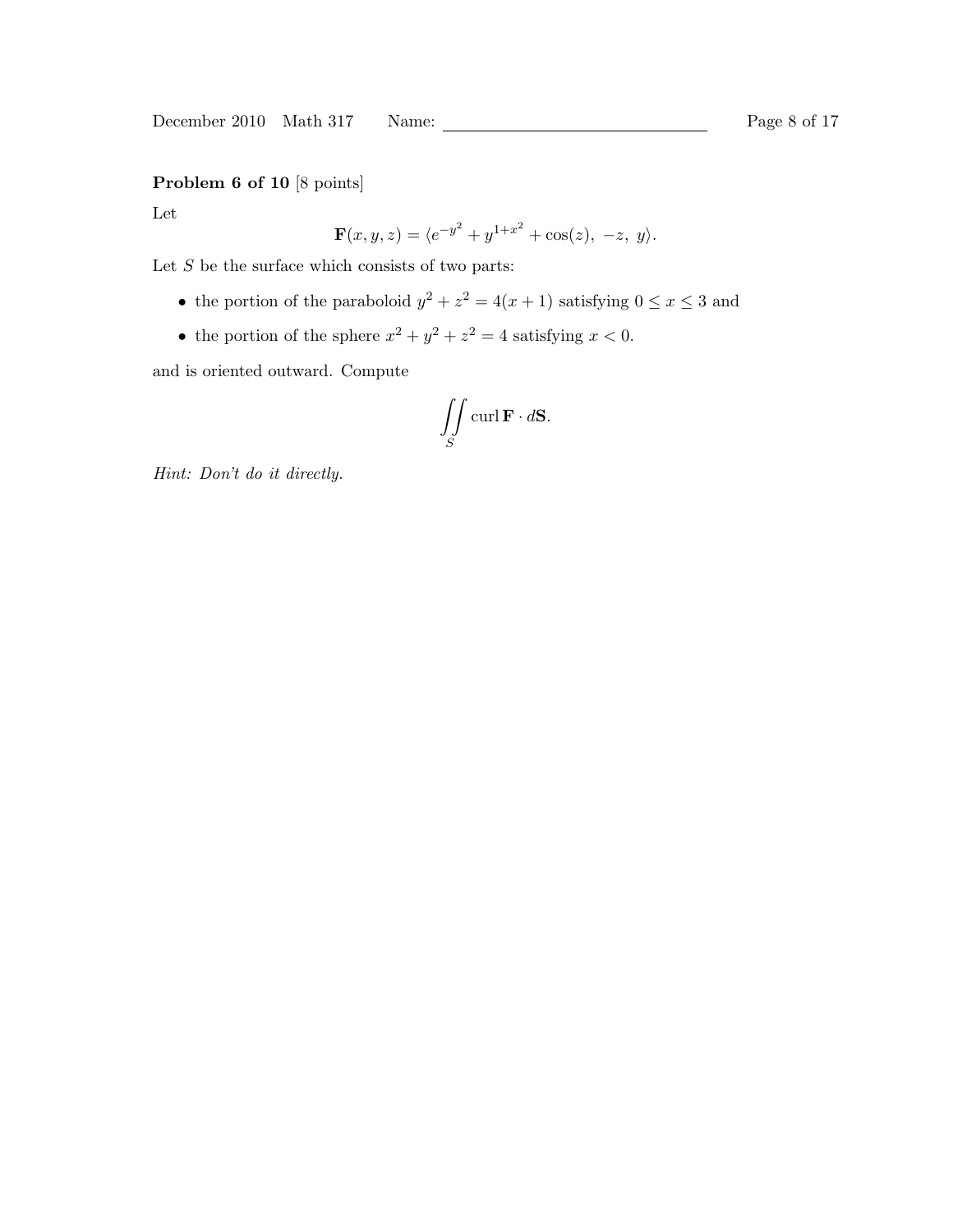# Problem 6 of 10 [8 points]

Let

$$
\mathbf{F}(x, y, z) = \langle e^{-y^2} + y^{1+x^2} + \cos(z), -z, y \rangle.
$$

Let  ${\cal S}$  be the surface which consists of two parts:

- the portion of the paraboloid  $y^2 + z^2 = 4(x+1)$  satisfying  $0 \le x \le 3$  and
- the portion of the sphere  $x^2 + y^2 + z^2 = 4$  satisfying  $x < 0$ .

and is oriented outward. Compute

$$
\iint\limits_{S} \operatorname{curl} \mathbf{F} \cdot d\mathbf{S}.
$$

Hint: Don't do it directly.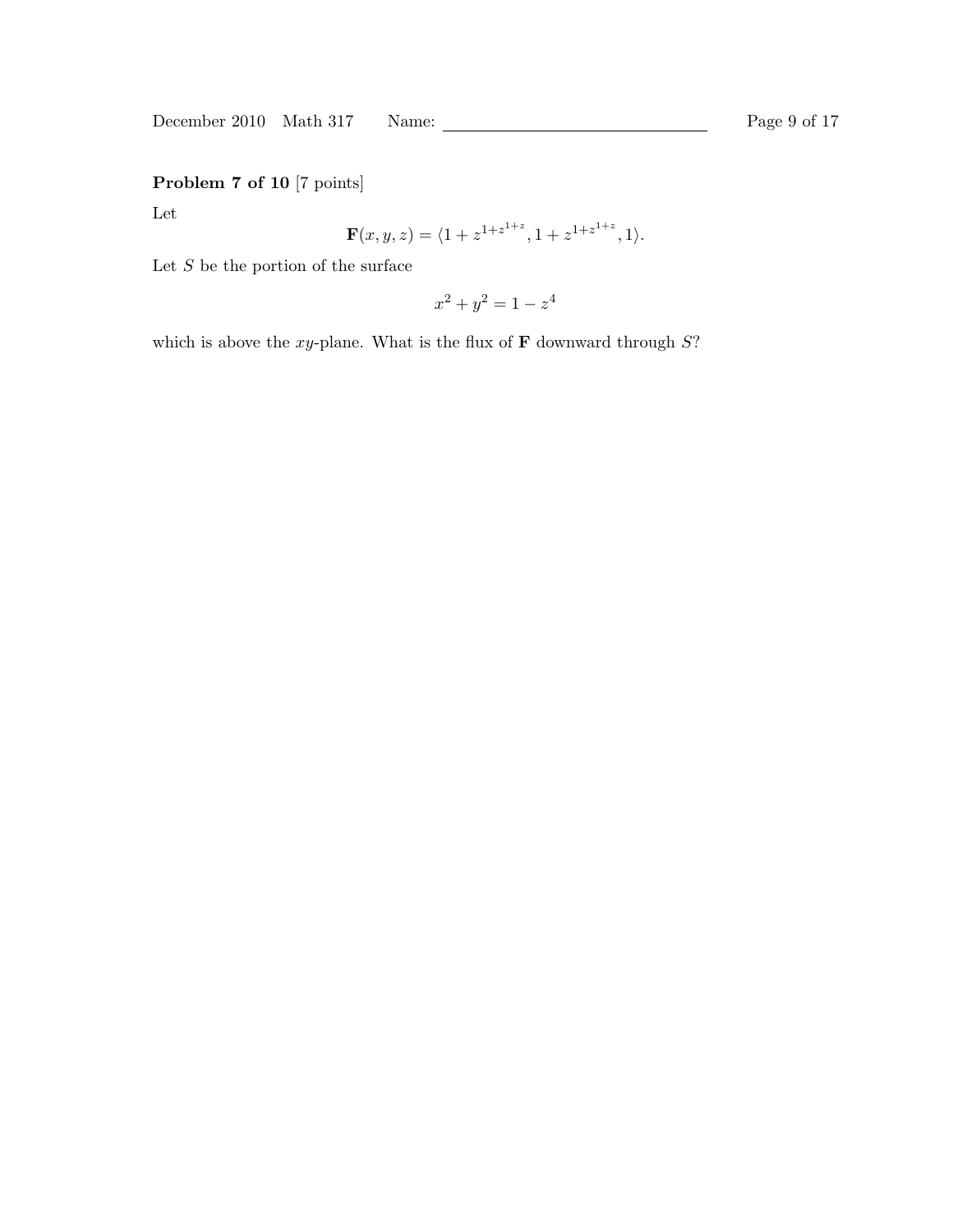December 2010 Math 317 Name: Page 9 of 17

Problem 7 of 10 [7 points]

Let

$$
\mathbf{F}(x, y, z) = \langle 1 + z^{1 + z^{1 + z}}, 1 + z^{1 + z^{1 + z}}, 1 \rangle.
$$

Let  $S$  be the portion of the surface

$$
x^2 + y^2 = 1 - z^4
$$

which is above the xy-plane. What is the flux of  **downward through**  $S$ **?**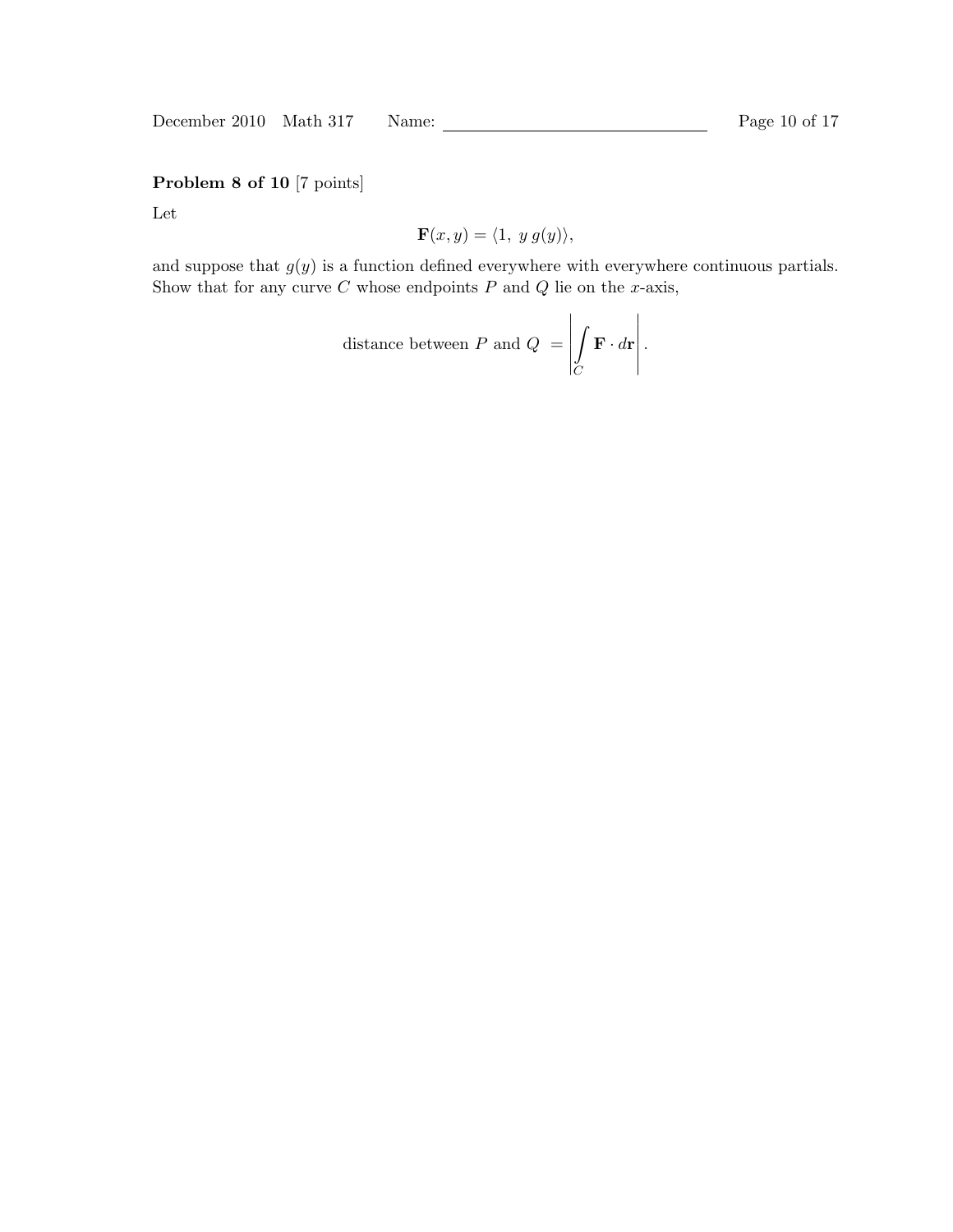December 2010 Math 317 Name: Page 10 of 17

Problem 8 of 10 [7 points]

Let

$$
\mathbf{F}(x,y) = \langle 1, y g(y) \rangle,
$$

and suppose that  $g(y)$  is a function defined everywhere with everywhere continuous partials. Show that for any curve  $C$  whose endpoints  $P$  and  $Q$  lie on the x-axis,

distance between *P* and 
$$
Q = \left| \int_C \mathbf{F} \cdot d\mathbf{r} \right|
$$
.

 $\mathbf{r}$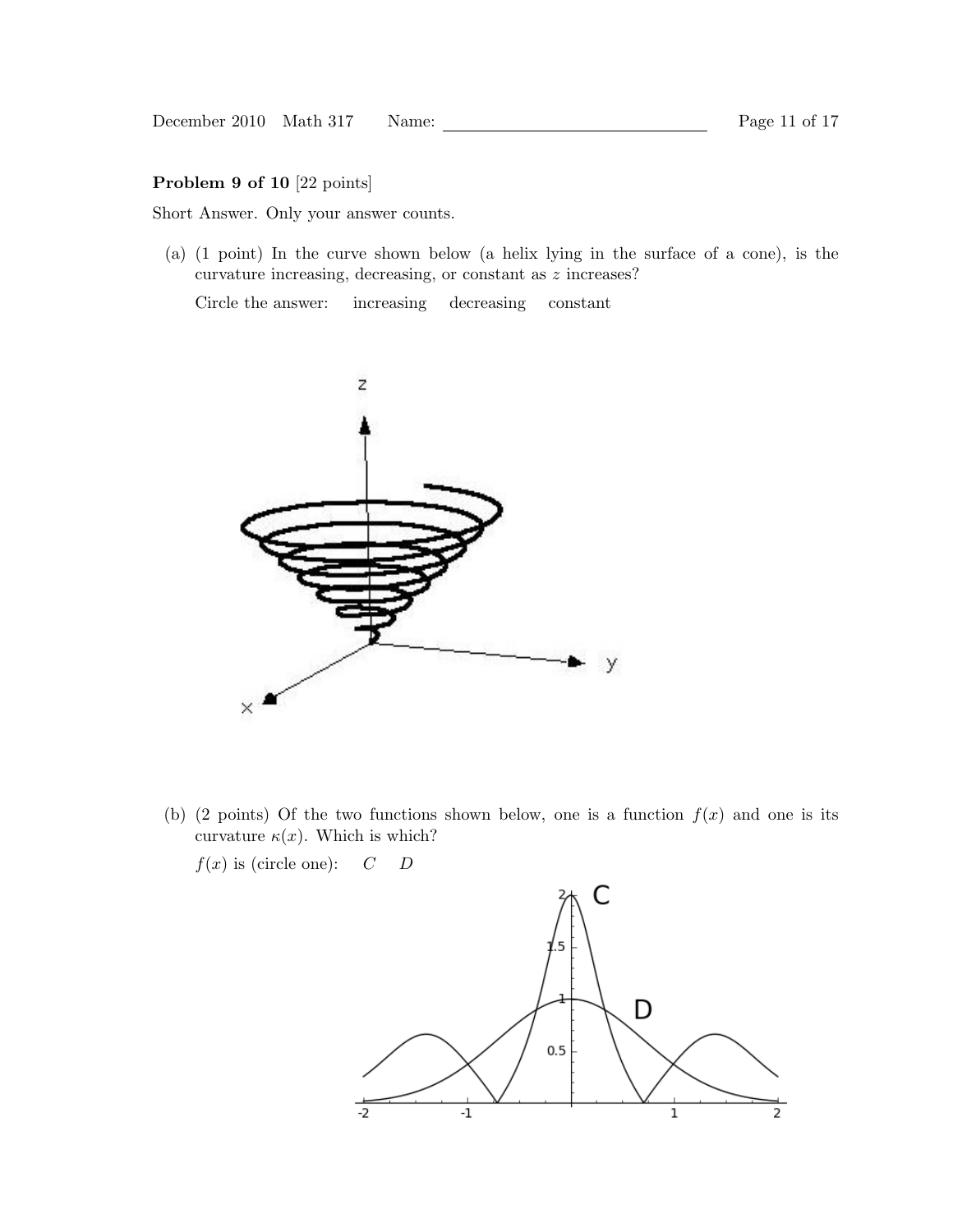### Problem 9 of 10 [22 points]

Short Answer. Only your answer counts.

(a) (1 point) In the curve shown below (a helix lying in the surface of a cone), is the curvature increasing, decreasing, or constant as z increases?

Circle the answer: increasing decreasing constant



(b) (2 points) Of the two functions shown below, one is a function  $f(x)$  and one is its curvature  $\kappa(x)$ . Which is which?

 $f(x)$  is (circle one):  $C$   $D$ 

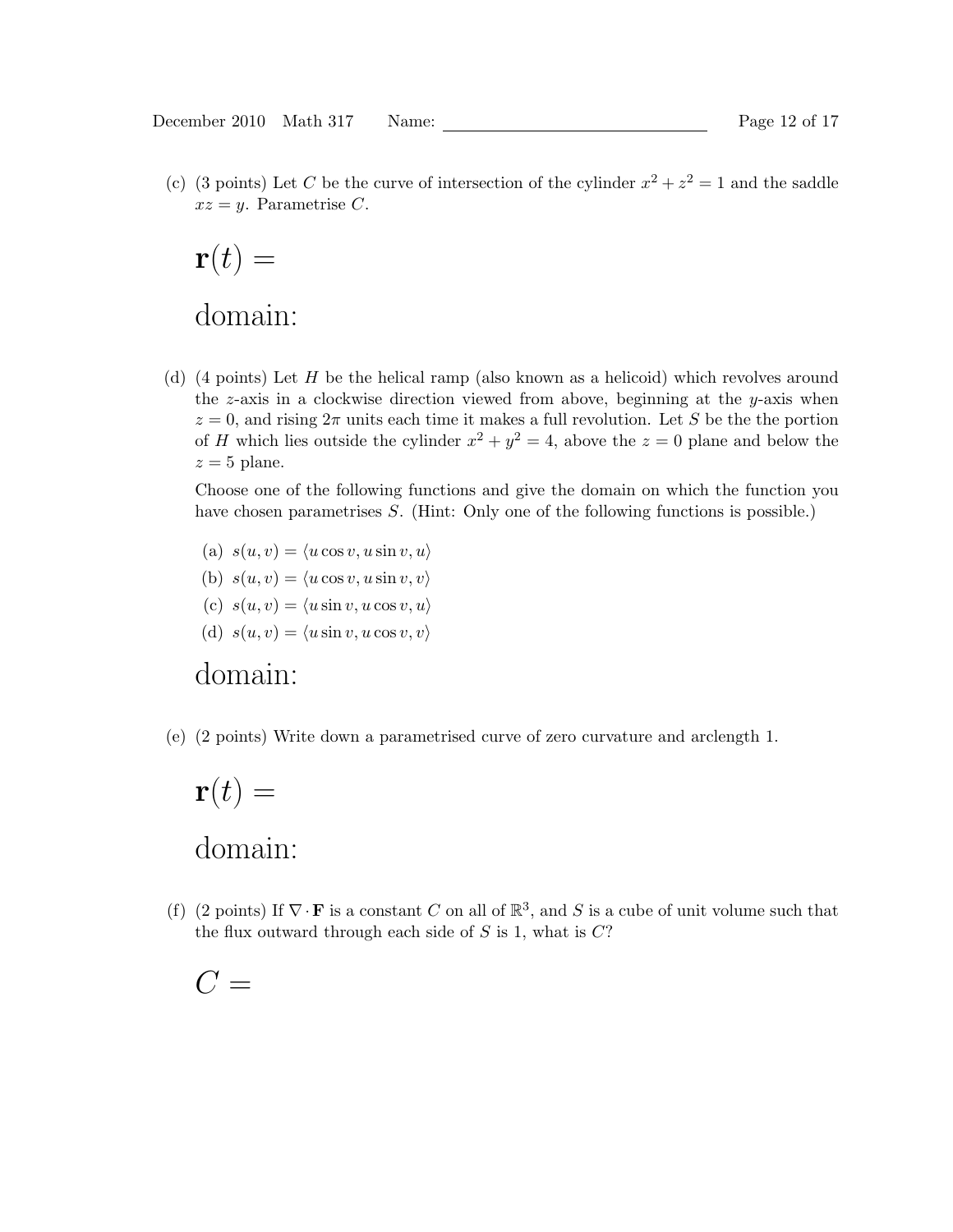(c) (3 points) Let C be the curve of intersection of the cylinder  $x^2 + z^2 = 1$  and the saddle  $xz = y$ . Parametrise C.

$$
\mathbf{r}(t) =
$$
domain:

(d) (4 points) Let H be the helical ramp (also known as a helicoid) which revolves around the  $z$ -axis in a clockwise direction viewed from above, beginning at the  $y$ -axis when  $z = 0$ , and rising  $2\pi$  units each time it makes a full revolution. Let S be the the portion of H which lies outside the cylinder  $x^2 + y^2 = 4$ , above the  $z = 0$  plane and below the  $z = 5$  plane.

Choose one of the following functions and give the domain on which the function you have chosen parametrises S. (Hint: Only one of the following functions is possible.)

(a)  $s(u, v) = \langle u \cos v, u \sin v, u \rangle$ (b)  $s(u, v) = \langle u \cos v, u \sin v, v \rangle$ (c)  $s(u, v) = \langle u \sin v, u \cos v, u \rangle$ (d)  $s(u, v) = \langle u \sin v, u \cos v, v \rangle$ 

# domain:

(e) (2 points) Write down a parametrised curve of zero curvature and arclength 1.

# $\mathbf{r}(t) =$ domain:

(f) (2 points) If  $\nabla \cdot \mathbf{F}$  is a constant C on all of  $\mathbb{R}^3$ , and S is a cube of unit volume such that the flux outward through each side of  $S$  is 1, what is  $C$ ?

 $C =$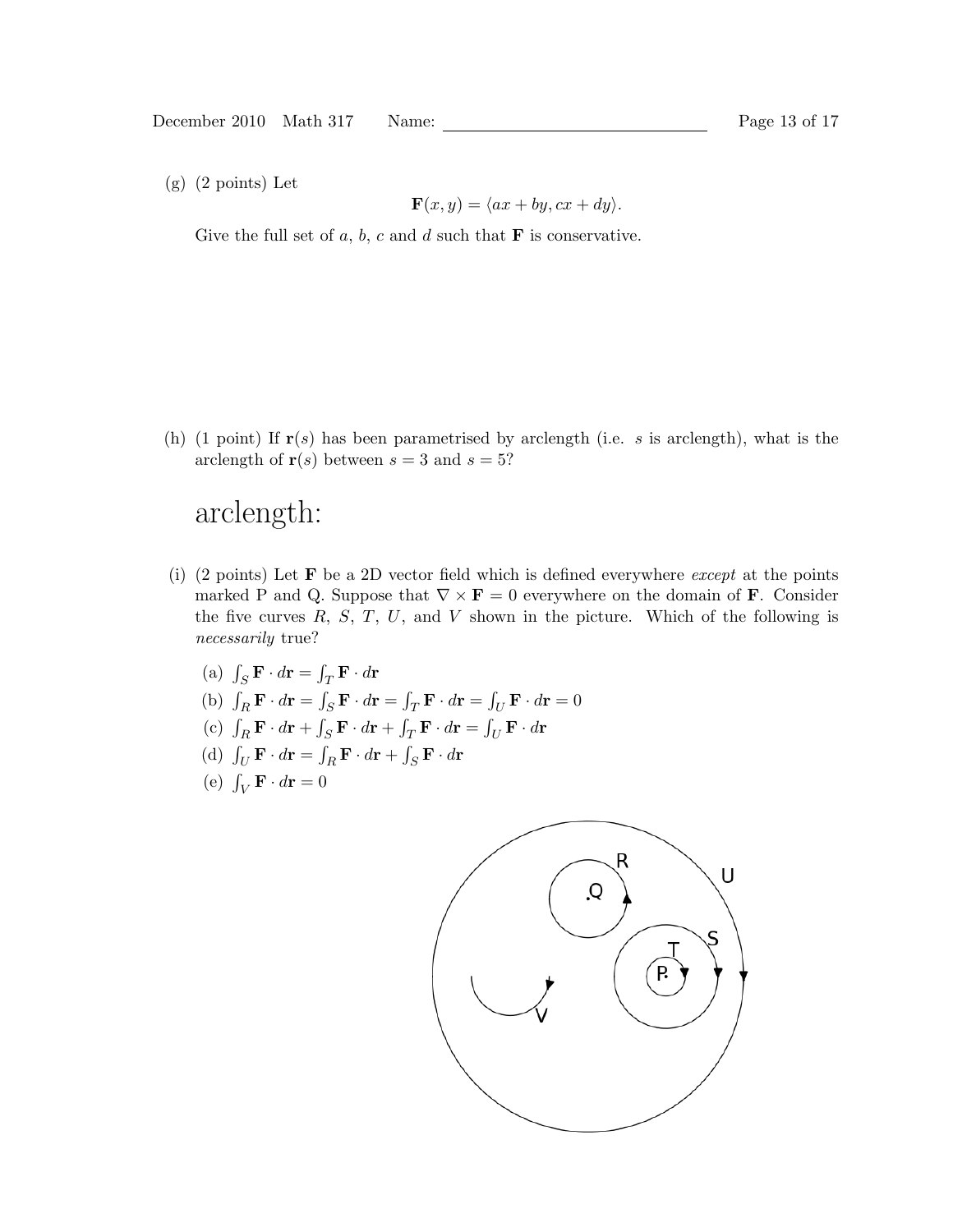(g) (2 points) Let

$$
\mathbf{F}(x, y) = \langle ax + by, cx + dy \rangle.
$$

Give the full set of  $a, b, c$  and  $d$  such that  $\bf{F}$  is conservative.

(h) (1 point) If  $r(s)$  has been parametrised by arclength (i.e. s is arclength), what is the arclength of  $r(s)$  between  $s = 3$  and  $s = 5$ ?

# arclength:

(i) (2 points) Let  $\bf{F}$  be a 2D vector field which is defined everywhere *except* at the points marked P and Q. Suppose that  $\nabla \times \mathbf{F} = 0$  everywhere on the domain of **F**. Consider the five curves  $R, S, T, U$ , and  $V$  shown in the picture. Which of the following is necessarily true?

(a) 
$$
\int_{S} \mathbf{F} \cdot d\mathbf{r} = \int_{T} \mathbf{F} \cdot d\mathbf{r}
$$

- (b)  $\int_R \mathbf{F} \cdot d\mathbf{r} = \int_S \mathbf{F} \cdot d\mathbf{r} = \int_T \mathbf{F} \cdot d\mathbf{r} = \int_U \mathbf{F} \cdot d\mathbf{r} = 0$
- (c)  $\int_R \mathbf{F} \cdot d\mathbf{r} + \int_S \mathbf{F} \cdot d\mathbf{r} + \int_T \mathbf{F} \cdot d\mathbf{r} = \int_U \mathbf{F} \cdot d\mathbf{r}$
- (d)  $\int_U \mathbf{F} \cdot d\mathbf{r} = \int_R \mathbf{F} \cdot d\mathbf{r} + \int_S \mathbf{F} \cdot d\mathbf{r}$
- (e)  $\int_V \mathbf{F} \cdot d\mathbf{r} = 0$

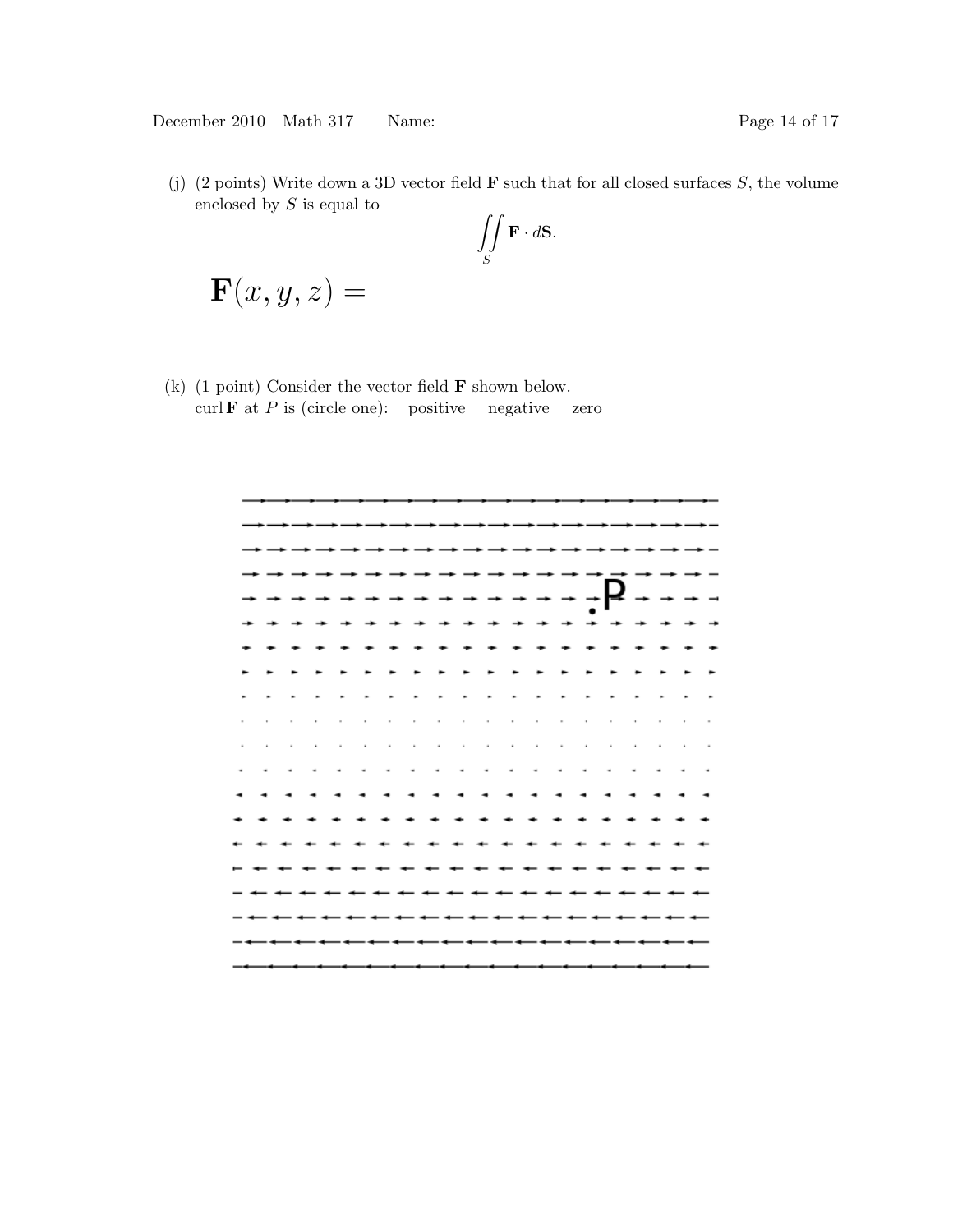(j) (2 points) Write down a 3D vector field  $\bf{F}$  such that for all closed surfaces S, the volume enclosed by  $S$  is equal to

$$
\iint\limits_{S} \mathbf{F} \cdot d\mathbf{S}.
$$

$$
\mathbf{F}(x,y,z) =
$$

(k) (1 point) Consider the vector field  $\bf{F}$  shown below. curl **F** at P is (circle one): positive negative zero

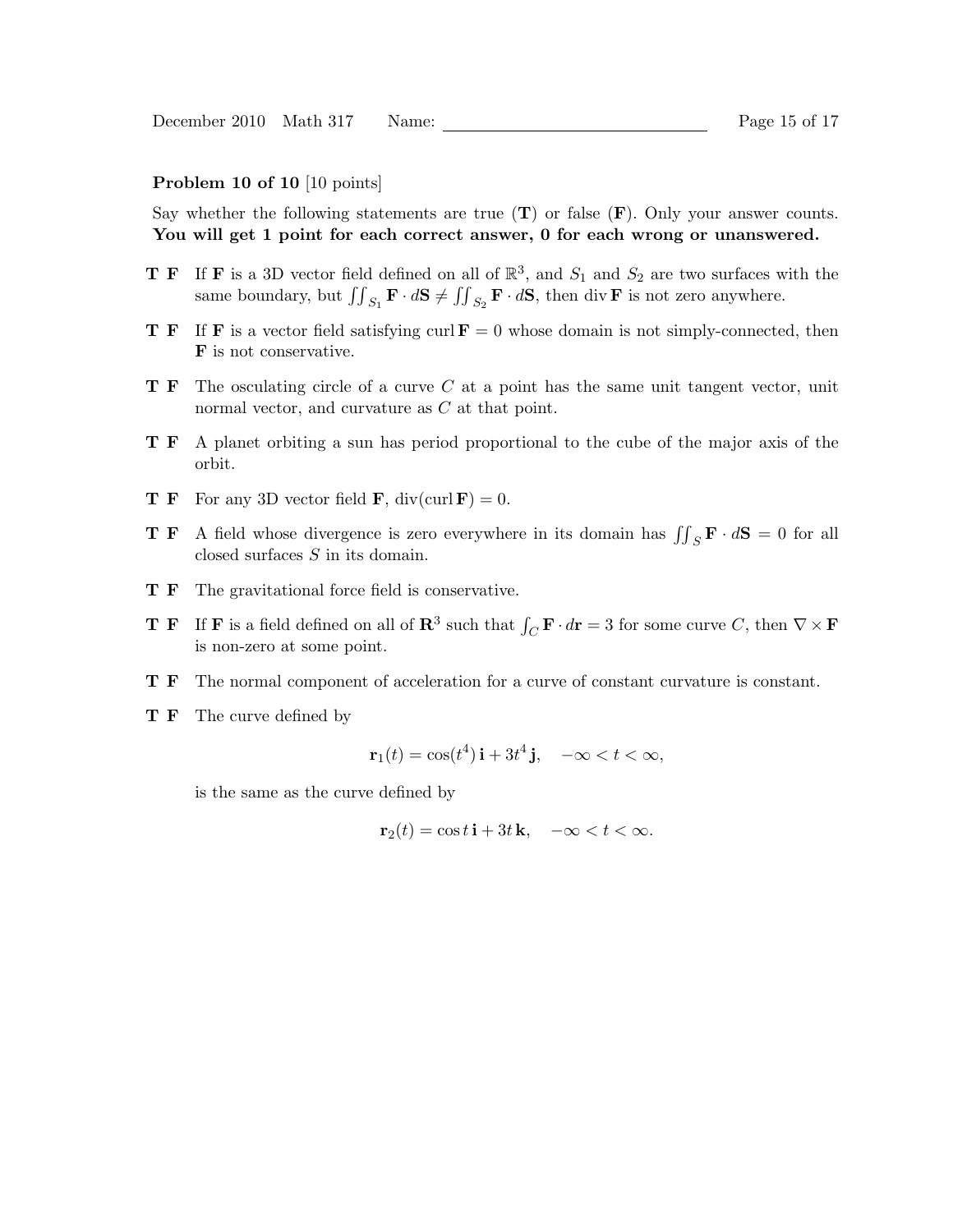#### Problem 10 of 10 [10 points]

Say whether the following statements are true  $(T)$  or false  $(F)$ . Only your answer counts. You will get 1 point for each correct answer, 0 for each wrong or unanswered.

- **T F** If **F** is a 3D vector field defined on all of  $\mathbb{R}^3$ , and  $S_1$  and  $S_2$  are two surfaces with the same boundary, but  $\iint_{S_1} \mathbf{F} \cdot d\mathbf{S} \neq \iint_{S_2} \mathbf{F} \cdot d\mathbf{S}$ , then div **F** is not zero anywhere.
- **T F** If **F** is a vector field satisfying curl  $\mathbf{F} = 0$  whose domain is not simply-connected, then F is not conservative.
- $T F$  The osculating circle of a curve C at a point has the same unit tangent vector, unit normal vector, and curvature as C at that point.
- T F A planet orbiting a sun has period proportional to the cube of the major axis of the orbit.
- **T F** For any 3D vector field **F**, div(curl **F**) = 0.
- **T F** A field whose divergence is zero everywhere in its domain has  $\iint_S \mathbf{F} \cdot d\mathbf{S} = 0$  for all closed surfaces S in its domain.
- T F The gravitational force field is conservative.
- **T F** If **F** is a field defined on all of  $\mathbb{R}^3$  such that  $\int_C \mathbf{F} \cdot d\mathbf{r} = 3$  for some curve C, then  $\nabla \times \mathbf{F}$ is non-zero at some point.
- T F The normal component of acceleration for a curve of constant curvature is constant.
- **T F** The curve defined by

$$
\mathbf{r}_1(t) = \cos(t^4)\,\mathbf{i} + 3t^4\,\mathbf{j}, \quad -\infty < t < \infty,
$$

is the same as the curve defined by

$$
\mathbf{r}_2(t) = \cos t \,\mathbf{i} + 3t \,\mathbf{k}, \quad -\infty < t < \infty.
$$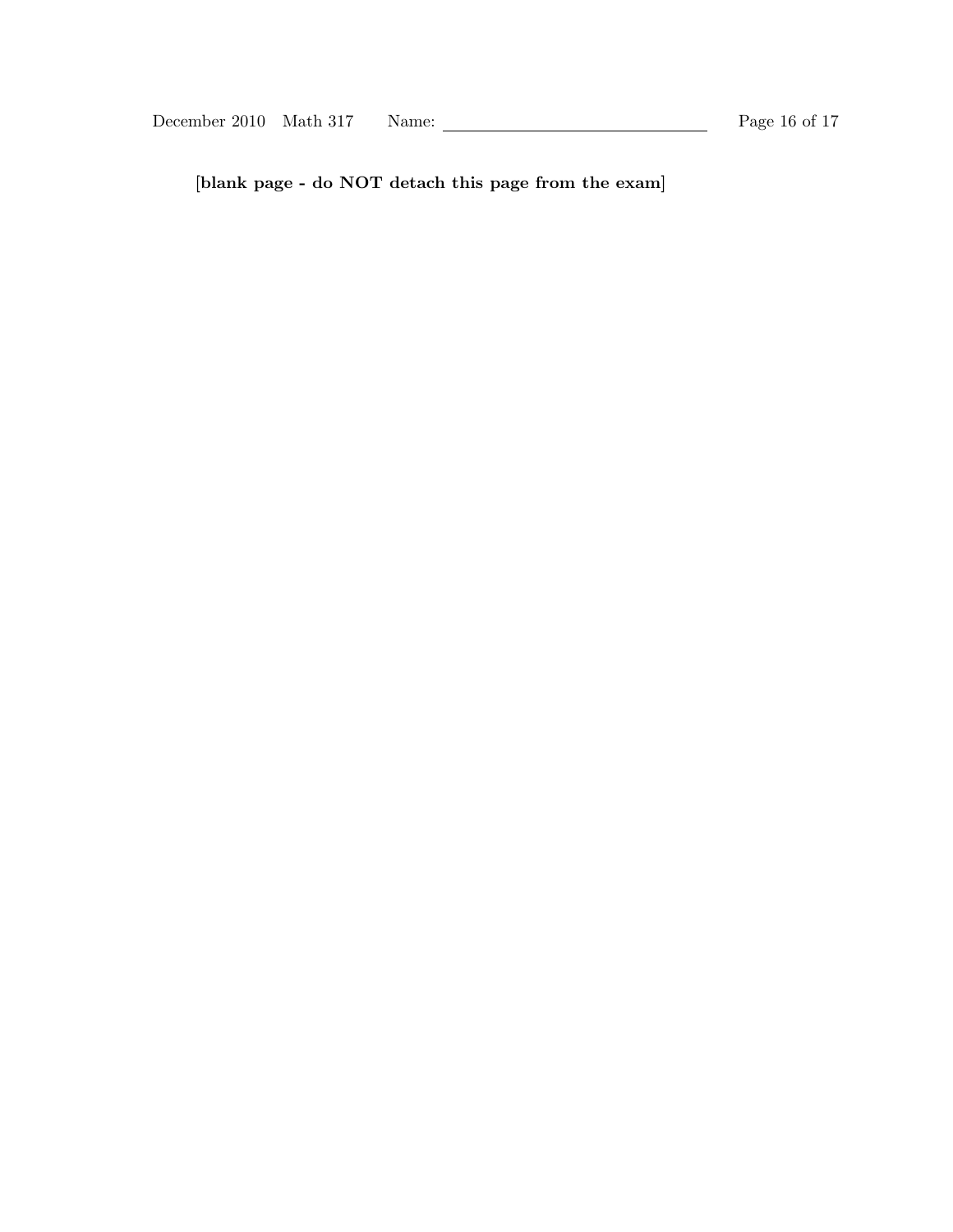[blank page - do NOT detach this page from the exam]